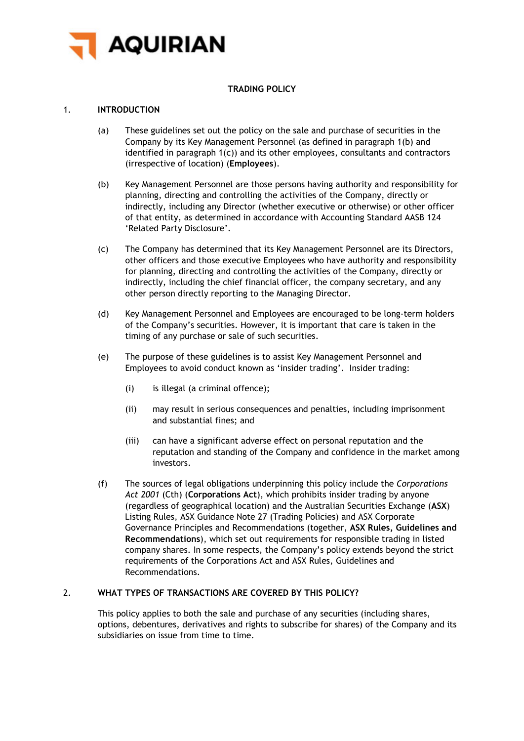

# **TRADING POLICY**

## 1. **INTRODUCTION**

- (a) These guidelines set out the policy on the sale and purchase of securities in the Company by its Key Management Personnel (as defined in paragraph [1\(b\)](#page-0-0) and identified in paragraph [1\(c\)\)](#page-0-1) and its other employees, consultants and contractors (irrespective of location) (**Employees**).
- <span id="page-0-0"></span>(b) Key Management Personnel are those persons having authority and responsibility for planning, directing and controlling the activities of the Company, directly or indirectly, including any Director (whether executive or otherwise) or other officer of that entity, as determined in accordance with Accounting Standard AASB 124 'Related Party Disclosure'.
- <span id="page-0-1"></span>(c) The Company has determined that its Key Management Personnel are its Directors, other officers and those executive Employees who have authority and responsibility for planning, directing and controlling the activities of the Company, directly or indirectly, including the chief financial officer, the company secretary, and any other person directly reporting to the Managing Director.
- (d) Key Management Personnel and Employees are encouraged to be long-term holders of the Company's securities. However, it is important that care is taken in the timing of any purchase or sale of such securities.
- (e) The purpose of these guidelines is to assist Key Management Personnel and Employees to avoid conduct known as 'insider trading'. Insider trading:
	- (i) is illegal (a criminal offence);
	- (ii) may result in serious consequences and penalties, including imprisonment and substantial fines; and
	- (iii) can have a significant adverse effect on personal reputation and the reputation and standing of the Company and confidence in the market among investors.
- (f) The sources of legal obligations underpinning this policy include the *Corporations Act 2001* (Cth) (**Corporations Act**), which prohibits insider trading by anyone (regardless of geographical location) and the Australian Securities Exchange (**ASX**) Listing Rules, ASX Guidance Note 27 (Trading Policies) and ASX Corporate Governance Principles and Recommendations (together, **ASX Rules, Guidelines and Recommendations**), which set out requirements for responsible trading in listed company shares. In some respects, the Company's policy extends beyond the strict requirements of the Corporations Act and ASX Rules, Guidelines and Recommendations.

## 2. **WHAT TYPES OF TRANSACTIONS ARE COVERED BY THIS POLICY?**

This policy applies to both the sale and purchase of any securities (including shares, options, debentures, derivatives and rights to subscribe for shares) of the Company and its subsidiaries on issue from time to time.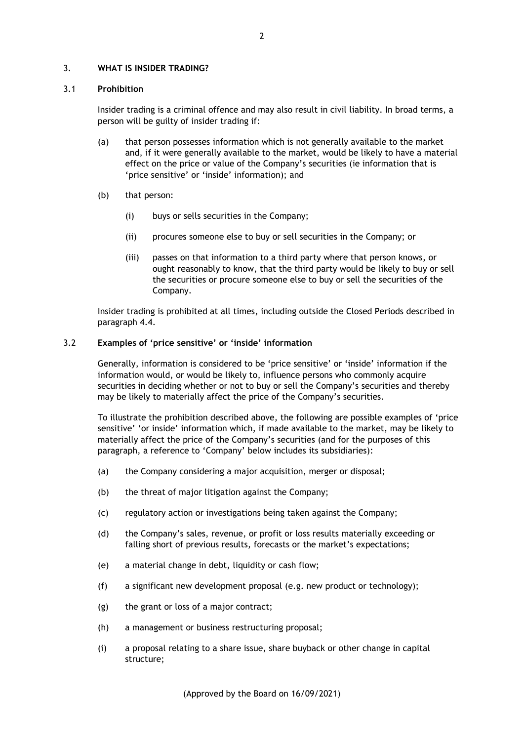### 3. **WHAT IS INSIDER TRADING?**

#### 3.1 **Prohibition**

Insider trading is a criminal offence and may also result in civil liability. In broad terms, a person will be guilty of insider trading if:

- (a) that person possesses information which is not generally available to the market and, if it were generally available to the market, would be likely to have a material effect on the price or value of the Company's securities (ie information that is 'price sensitive' or 'inside' information); and
- (b) that person:
	- (i) buys or sells securities in the Company;
	- (ii) procures someone else to buy or sell securities in the Company; or
	- (iii) passes on that information to a third party where that person knows, or ought reasonably to know, that the third party would be likely to buy or sell the securities or procure someone else to buy or sell the securities of the Company.

Insider trading is prohibited at all times, including outside the Closed Periods described in paragraph [4.4.](#page-3-0)

## 3.2 **Examples of 'price sensitive' or 'inside' information**

Generally, information is considered to be 'price sensitive' or 'inside' information if the information would, or would be likely to, influence persons who commonly acquire securities in deciding whether or not to buy or sell the Company's securities and thereby may be likely to materially affect the price of the Company's securities.

To illustrate the prohibition described above, the following are possible examples of 'price sensitive' 'or inside' information which, if made available to the market, may be likely to materially affect the price of the Company's securities (and for the purposes of this paragraph, a reference to 'Company' below includes its subsidiaries):

- (a) the Company considering a major acquisition, merger or disposal;
- (b) the threat of major litigation against the Company;
- (c) regulatory action or investigations being taken against the Company;
- (d) the Company's sales, revenue, or profit or loss results materially exceeding or falling short of previous results, forecasts or the market's expectations;
- (e) a material change in debt, liquidity or cash flow;
- (f) a significant new development proposal (e.g. new product or technology);
- (g) the grant or loss of a major contract;
- (h) a management or business restructuring proposal;
- (i) a proposal relating to a share issue, share buyback or other change in capital structure;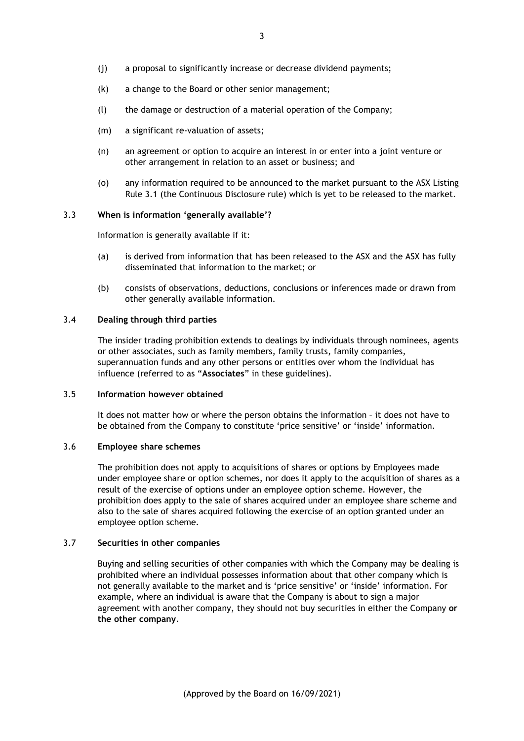- (j) a proposal to significantly increase or decrease dividend payments;
- (k) a change to the Board or other senior management;
- (l) the damage or destruction of a material operation of the Company;
- (m) a significant re-valuation of assets;
- (n) an agreement or option to acquire an interest in or enter into a joint venture or other arrangement in relation to an asset or business; and
- (o) any information required to be announced to the market pursuant to the ASX Listing Rule 3.1 (the Continuous Disclosure rule) which is yet to be released to the market.

#### 3.3 **When is information 'generally available'?**

Information is generally available if it:

- (a) is derived from information that has been released to the ASX and the ASX has fully disseminated that information to the market; or
- (b) consists of observations, deductions, conclusions or inferences made or drawn from other generally available information.

## 3.4 **Dealing through third parties**

The insider trading prohibition extends to dealings by individuals through nominees, agents or other associates, such as family members, family trusts, family companies, superannuation funds and any other persons or entities over whom the individual has influence (referred to as "**Associates**" in these guidelines).

## 3.5 **Information however obtained**

It does not matter how or where the person obtains the information – it does not have to be obtained from the Company to constitute 'price sensitive' or 'inside' information.

#### 3.6 **Employee share schemes**

The prohibition does not apply to acquisitions of shares or options by Employees made under employee share or option schemes, nor does it apply to the acquisition of shares as a result of the exercise of options under an employee option scheme. However, the prohibition does apply to the sale of shares acquired under an employee share scheme and also to the sale of shares acquired following the exercise of an option granted under an employee option scheme.

### 3.7 **Securities in other companies**

Buying and selling securities of other companies with which the Company may be dealing is prohibited where an individual possesses information about that other company which is not generally available to the market and is 'price sensitive' or 'inside' information. For example, where an individual is aware that the Company is about to sign a major agreement with another company, they should not buy securities in either the Company **or the other company**.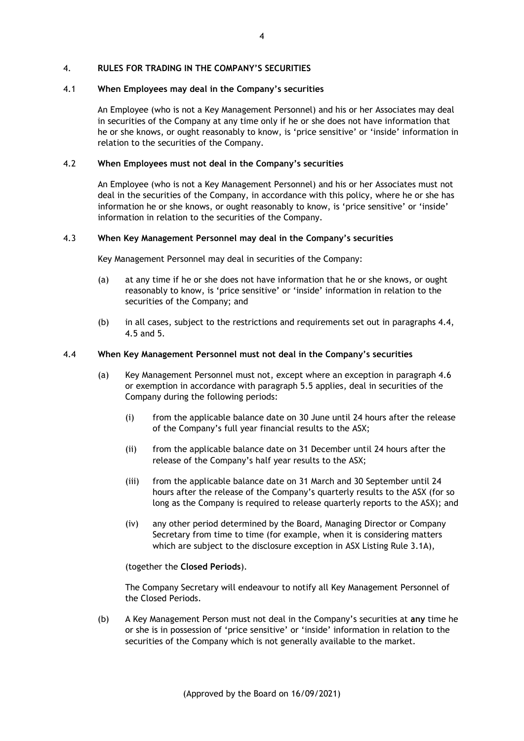#### 4. **RULES FOR TRADING IN THE COMPANY'S SECURITIES**

#### 4.1 **When Employees may deal in the Company's securities**

An Employee (who is not a Key Management Personnel) and his or her Associates may deal in securities of the Company at any time only if he or she does not have information that he or she knows, or ought reasonably to know, is 'price sensitive' or 'inside' information in relation to the securities of the Company.

### 4.2 **When Employees must not deal in the Company's securities**

An Employee (who is not a Key Management Personnel) and his or her Associates must not deal in the securities of the Company, in accordance with this policy, where he or she has information he or she knows, or ought reasonably to know, is 'price sensitive' or 'inside' information in relation to the securities of the Company.

### 4.3 **When Key Management Personnel may deal in the Company's securities**

Key Management Personnel may deal in securities of the Company:

- (a) at any time if he or she does not have information that he or she knows, or ought reasonably to know, is 'price sensitive' or 'inside' information in relation to the securities of the Company; and
- (b) in all cases, subject to the restrictions and requirements set out in paragraphs [4.4,](#page-3-0) [4.5](#page-4-0) and [5.](#page-5-0)

#### <span id="page-3-0"></span>4.4 **When Key Management Personnel must not deal in the Company's securities**

- (a) Key Management Personnel must not, except where an exception in paragraph [4.6](#page-4-1) or exemption in accordance with paragraph [5.5](#page-6-0) applies, deal in securities of the Company during the following periods:
	- (i) from the applicable balance date on 30 June until 24 hours after the release of the Company's full year financial results to the ASX;
	- (ii) from the applicable balance date on 31 December until 24 hours after the release of the Company's half year results to the ASX;
	- (iii) from the applicable balance date on 31 March and 30 September until 24 hours after the release of the Company's quarterly results to the ASX (for so long as the Company is required to release quarterly reports to the ASX); and
	- (iv) any other period determined by the Board, Managing Director or Company Secretary from time to time (for example, when it is considering matters which are subject to the disclosure exception in ASX Listing Rule 3.1A),

(together the **Closed Periods**).

The Company Secretary will endeavour to notify all Key Management Personnel of the Closed Periods.

(b) A Key Management Person must not deal in the Company's securities at **any** time he or she is in possession of 'price sensitive' or 'inside' information in relation to the securities of the Company which is not generally available to the market.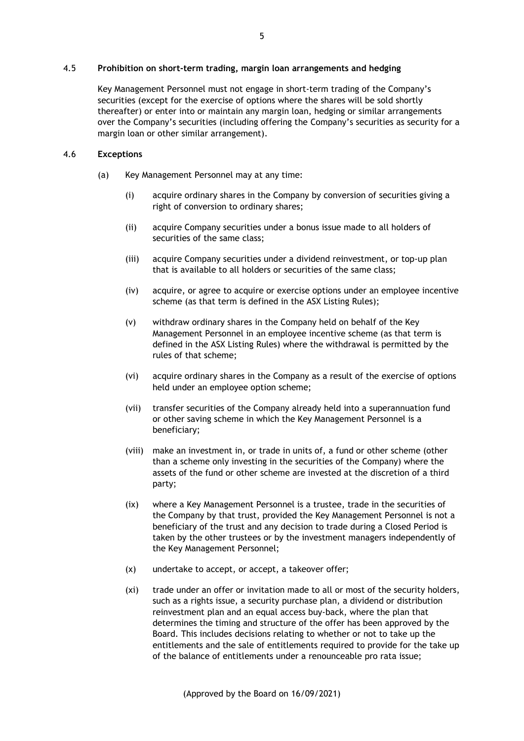<span id="page-4-0"></span>4.5 **Prohibition on short-term trading, margin loan arrangements and hedging**

Key Management Personnel must not engage in short-term trading of the Company's securities (except for the exercise of options where the shares will be sold shortly thereafter) or enter into or maintain any margin loan, hedging or similar arrangements over the Company's securities (including offering the Company's securities as security for a margin loan or other similar arrangement).

### <span id="page-4-1"></span>4.6 **Exceptions**

- (a) Key Management Personnel may at any time:
	- (i) acquire ordinary shares in the Company by conversion of securities giving a right of conversion to ordinary shares;
	- (ii) acquire Company securities under a bonus issue made to all holders of securities of the same class;
	- (iii) acquire Company securities under a dividend reinvestment, or top-up plan that is available to all holders or securities of the same class;
	- (iv) acquire, or agree to acquire or exercise options under an employee incentive scheme (as that term is defined in the ASX Listing Rules);
	- (v) withdraw ordinary shares in the Company held on behalf of the Key Management Personnel in an employee incentive scheme (as that term is defined in the ASX Listing Rules) where the withdrawal is permitted by the rules of that scheme;
	- (vi) acquire ordinary shares in the Company as a result of the exercise of options held under an employee option scheme;
	- (vii) transfer securities of the Company already held into a superannuation fund or other saving scheme in which the Key Management Personnel is a beneficiary;
	- (viii) make an investment in, or trade in units of, a fund or other scheme (other than a scheme only investing in the securities of the Company) where the assets of the fund or other scheme are invested at the discretion of a third party;
	- (ix) where a Key Management Personnel is a trustee, trade in the securities of the Company by that trust, provided the Key Management Personnel is not a beneficiary of the trust and any decision to trade during a Closed Period is taken by the other trustees or by the investment managers independently of the Key Management Personnel;
	- (x) undertake to accept, or accept, a takeover offer;
	- (xi) trade under an offer or invitation made to all or most of the security holders, such as a rights issue, a security purchase plan, a dividend or distribution reinvestment plan and an equal access buy-back, where the plan that determines the timing and structure of the offer has been approved by the Board. This includes decisions relating to whether or not to take up the entitlements and the sale of entitlements required to provide for the take up of the balance of entitlements under a renounceable pro rata issue;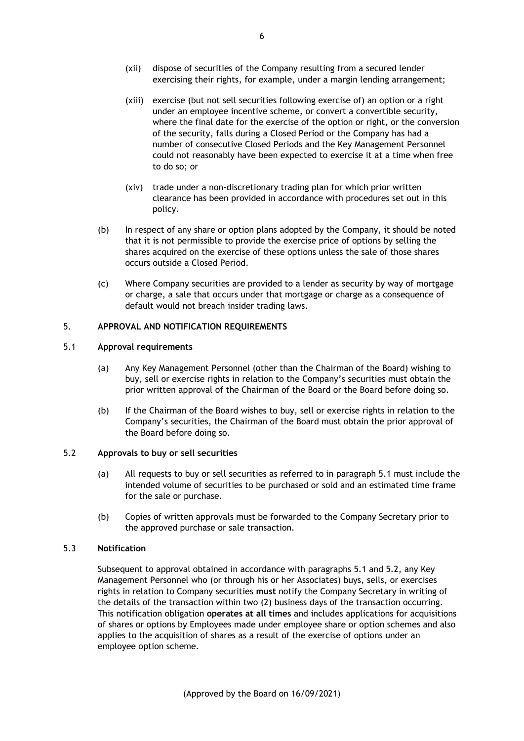- (xii) dispose of securities of the Company resulting from a secured lender exercising their rights, for example, under a margin lending arrangement;
- (xiii) exercise (but not sell securities following exercise of) an option or a right under an employee incentive scheme, or convert a convertible security, where the final date for the exercise of the option or right, or the conversion of the security, falls during a Closed Period or the Company has had a number of consecutive Closed Periods and the Key Management Personnel could not reasonably have been expected to exercise it at a time when free to do so; or
- (xiv) trade under a non-discretionary trading plan for which prior written clearance has been provided in accordance with procedures set out in this policy.
- (b) In respect of any share or option plans adopted by the Company, it should be noted that it is not permissible to provide the exercise price of options by selling the shares acquired on the exercise of these options unless the sale of those shares occurs outside a Closed Period.
- (c) Where Company securities are provided to a lender as security by way of mortgage or charge, a sale that occurs under that mortgage or charge as a consequence of default would not breach insider trading laws.

## <span id="page-5-0"></span>5. **APPROVAL AND NOTIFICATION REQUIREMENTS**

#### <span id="page-5-1"></span>5.1 **Approval requirements**

- (a) Any Key Management Personnel (other than the Chairman of the Board) wishing to buy, sell or exercise rights in relation to the Company's securities must obtain the prior written approval of the Chairman of the Board or the Board before doing so.
- (b) If the Chairman of the Board wishes to buy, sell or exercise rights in relation to the Company's securities, the Chairman of the Board must obtain the prior approval of the Board before doing so.

### <span id="page-5-2"></span>5.2 **Approvals to buy or sell securities**

- (a) All requests to buy or sell securities as referred to in paragraph [5.1](#page-5-1) must include the intended volume of securities to be purchased or sold and an estimated time frame for the sale or purchase.
- (b) Copies of written approvals must be forwarded to the Company Secretary prior to the approved purchase or sale transaction.

## 5.3 **Notification**

Subsequent to approval obtained in accordance with paragraphs [5.1](#page-5-1) and [5.2,](#page-5-2) any Key Management Personnel who (or through his or her Associates) buys, sells, or exercises rights in relation to Company securities **must** notify the Company Secretary in writing of the details of the transaction within two (2) business days of the transaction occurring. This notification obligation **operates at all times** and includes applications for acquisitions of shares or options by Employees made under employee share or option schemes and also applies to the acquisition of shares as a result of the exercise of options under an employee option scheme.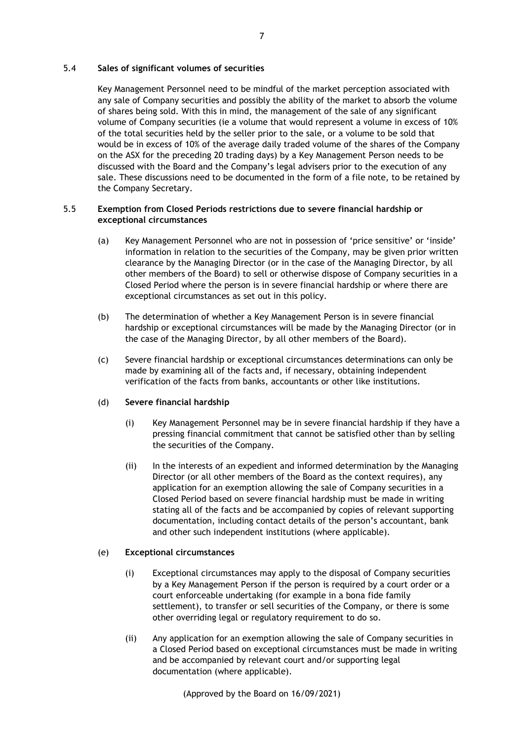## 5.4 **Sales of significant volumes of securities**

Key Management Personnel need to be mindful of the market perception associated with any sale of Company securities and possibly the ability of the market to absorb the volume of shares being sold. With this in mind, the management of the sale of any significant volume of Company securities (ie a volume that would represent a volume in excess of 10% of the total securities held by the seller prior to the sale, or a volume to be sold that would be in excess of 10% of the average daily traded volume of the shares of the Company on the ASX for the preceding 20 trading days) by a Key Management Person needs to be discussed with the Board and the Company's legal advisers prior to the execution of any sale. These discussions need to be documented in the form of a file note, to be retained by the Company Secretary.

## <span id="page-6-0"></span>5.5 **Exemption from Closed Periods restrictions due to severe financial hardship or exceptional circumstances**

- (a) Key Management Personnel who are not in possession of 'price sensitive' or 'inside' information in relation to the securities of the Company, may be given prior written clearance by the Managing Director (or in the case of the Managing Director, by all other members of the Board) to sell or otherwise dispose of Company securities in a Closed Period where the person is in severe financial hardship or where there are exceptional circumstances as set out in this policy.
- (b) The determination of whether a Key Management Person is in severe financial hardship or exceptional circumstances will be made by the Managing Director (or in the case of the Managing Director, by all other members of the Board).
- (c) Severe financial hardship or exceptional circumstances determinations can only be made by examining all of the facts and, if necessary, obtaining independent verification of the facts from banks, accountants or other like institutions.

#### (d) **Severe financial hardship**

- (i) Key Management Personnel may be in severe financial hardship if they have a pressing financial commitment that cannot be satisfied other than by selling the securities of the Company.
- (ii) In the interests of an expedient and informed determination by the Managing Director (or all other members of the Board as the context requires), any application for an exemption allowing the sale of Company securities in a Closed Period based on severe financial hardship must be made in writing stating all of the facts and be accompanied by copies of relevant supporting documentation, including contact details of the person's accountant, bank and other such independent institutions (where applicable).

## (e) **Exceptional circumstances**

- (i) Exceptional circumstances may apply to the disposal of Company securities by a Key Management Person if the person is required by a court order or a court enforceable undertaking (for example in a bona fide family settlement), to transfer or sell securities of the Company, or there is some other overriding legal or regulatory requirement to do so.
- (ii) Any application for an exemption allowing the sale of Company securities in a Closed Period based on exceptional circumstances must be made in writing and be accompanied by relevant court and/or supporting legal documentation (where applicable).